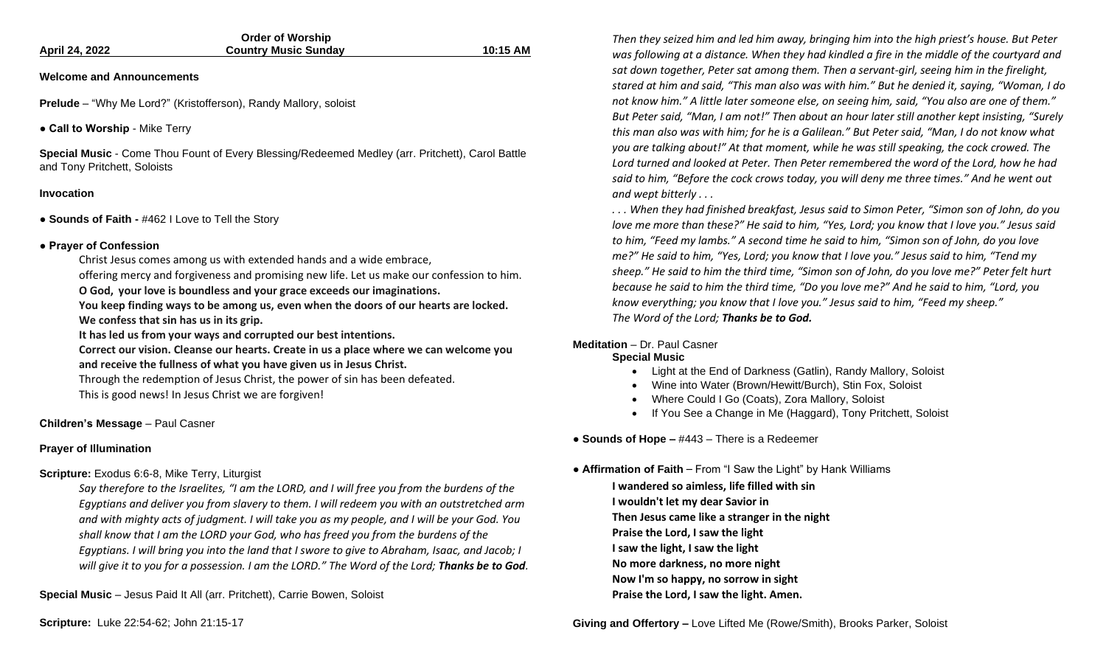|                | <b>Order of Worship</b>     |          |
|----------------|-----------------------------|----------|
| April 24, 2022 | <b>Country Music Sunday</b> | 10:15 AM |

#### **Welcome and Announcements**

**Prelude** – "Why Me Lord?" (Kristofferson), Randy Mallory, soloist

**● Call to Worship** - Mike Terry

**Special Music** - Come Thou Fount of Every Blessing/Redeemed Medley (arr. Pritchett), Carol Battle and Tony Pritchett, Soloists

## **Invocation**

**● Sounds of Faith -** #462 I Love to Tell the Story

### **● Prayer of Confession**

Christ Jesus comes among us with extended hands and a wide embrace,

offering mercy and forgiveness and promising new life. Let us make our confession to him.

- **O God, your love is boundless and your grace exceeds our imaginations.**
- **You keep finding ways to be among us, even when the doors of our hearts are locked. We confess that sin has us in its grip.**

**It has led us from your ways and corrupted our best intentions.**

**Correct our vision. Cleanse our hearts. Create in us a place where we can welcome you and receive the fullness of what you have given us in Jesus Christ.**

Through the redemption of Jesus Christ, the power of sin has been defeated. This is good news! In Jesus Christ we are forgiven!

**Children's Message** – Paul Casner

#### **Prayer of Illumination**

**Scripture:** Exodus 6:6-8, Mike Terry, Liturgist

*Say therefore to the Israelites, "I am the LORD, and I will free you from the burdens of the Egyptians and deliver you from slavery to them. I will redeem you with an outstretched arm and with mighty acts of judgment. I will take you as my people, and I will be your God. You shall know that I am the LORD your God, who has freed you from the burdens of the Egyptians. I will bring you into the land that I swore to give to Abraham, Isaac, and Jacob; I will give it to you for a possession. I am the LORD." The Word of the Lord; Thanks be to God.* 

**Special Music** – Jesus Paid It All (arr. Pritchett), Carrie Bowen, Soloist

*Then they seized him and led him away, bringing him into the high priest's house. But Peter was following at a distance. When they had kindled a fire in the middle of the courtyard and sat down together, Peter sat among them. Then a servant-girl, seeing him in the firelight, stared at him and said, "This man also was with him." But he denied it, saying, "Woman, I do not know him." A little later someone else, on seeing him, said, "You also are one of them." But Peter said, "Man, I am not!" Then about an hour later still another kept insisting, "Surely this man also was with him; for he is a Galilean." But Peter said, "Man, I do not know what you are talking about!" At that moment, while he was still speaking, the cock crowed. The Lord turned and looked at Peter. Then Peter remembered the word of the Lord, how he had said to him, "Before the cock crows today, you will deny me three times." And he went out and wept bitterly . . .* 

*. . . When they had finished breakfast, Jesus said to Simon Peter, "Simon son of John, do you love me more than these?" He said to him, "Yes, Lord; you know that I love you." Jesus said to him, "Feed my lambs." A second time he said to him, "Simon son of John, do you love me?" He said to him, "Yes, Lord; you know that I love you." Jesus said to him, "Tend my sheep." He said to him the third time, "Simon son of John, do you love me?" Peter felt hurt because he said to him the third time, "Do you love me?" And he said to him, "Lord, you know everything; you know that I love you." Jesus said to him, "Feed my sheep." The Word of the Lord; Thanks be to God.*

## **Meditation** – Dr. Paul Casner

#### **Special Music**

- Light at the End of Darkness (Gatlin), Randy Mallory, Soloist
- Wine into Water (Brown/Hewitt/Burch), Stin Fox, Soloist
- Where Could I Go (Coats), Zora Mallory, Soloist
- If You See a Change in Me (Haggard), Tony Pritchett, Soloist

**● Sounds of Hope –** #443 – There is a Redeemer

**● Affirmation of Faith** – From "I Saw the Light" by Hank Williams

**I wandered so aimless, life filled with sin I wouldn't let my dear Savior in Then Jesus came like a stranger in the night Praise the Lord, I saw the light I saw the light, I saw the light No more darkness, no more night Now I'm so happy, no sorrow in sight Praise the Lord, I saw the light. Amen.**